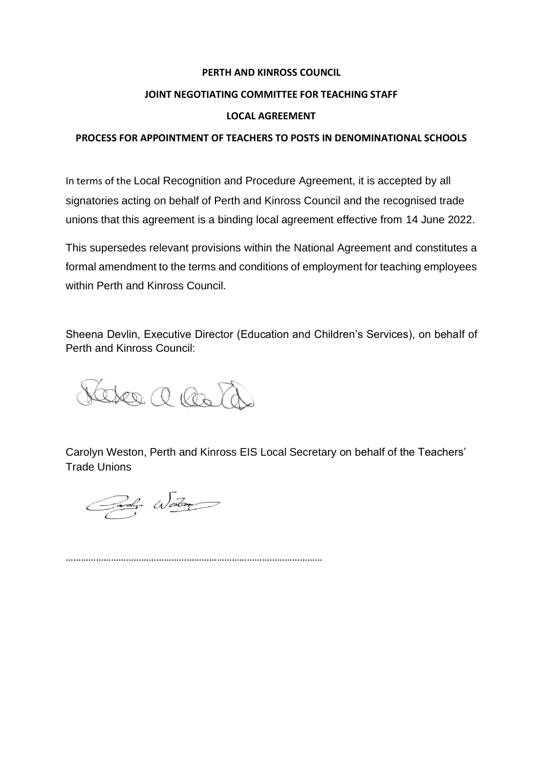#### **PERTH AND KINROSS COUNCIL**

#### **JOINT NEGOTIATING COMMITTEE FOR TEACHING STAFF**

#### **LOCAL AGREEMENT**

#### **PROCESS FOR APPOINTMENT OF TEACHERS TO POSTS IN DENOMINATIONAL SCHOOLS**

In terms of the Local Recognition and Procedure Agreement, it is accepted by all signatories acting on behalf of Perth and Kinross Council and the recognised trade unions that this agreement is a binding local agreement effective from 14 June 2022.

This supersedes relevant provisions within the National Agreement and constitutes a formal amendment to the terms and conditions of employment for teaching employees within Perth and Kinross Council.

Sheena Devlin, Executive Director (Education and Children's Services), on behalf of Perth and Kinross Council:

eter a lost

Carolyn Weston, Perth and Kinross EIS Local Secretary on behalf of the Teachers' Trade Unions

Carolyn Wester

…………………………………………………………………………………………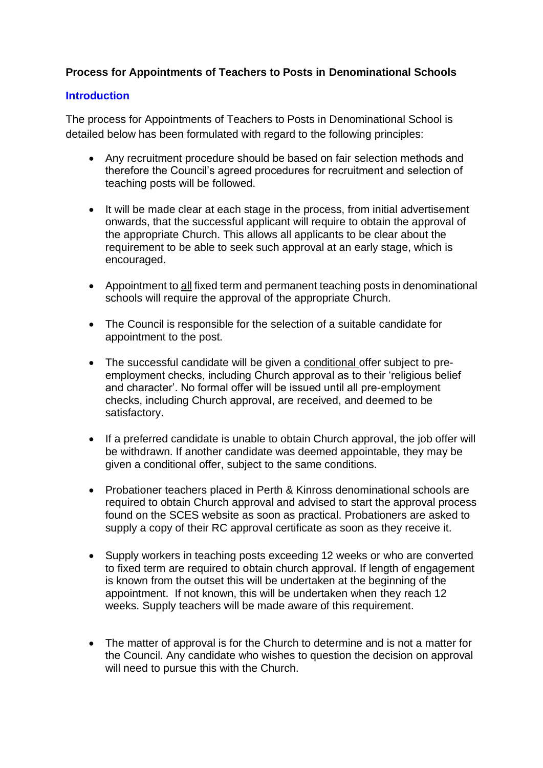# **Process for Appointments of Teachers to Posts in Denominational Schools**

## **Introduction**

The process for Appointments of Teachers to Posts in Denominational School is detailed below has been formulated with regard to the following principles:

- Any recruitment procedure should be based on fair selection methods and therefore the Council's agreed procedures for recruitment and selection of teaching posts will be followed.
- It will be made clear at each stage in the process, from initial advertisement onwards, that the successful applicant will require to obtain the approval of the appropriate Church. This allows all applicants to be clear about the requirement to be able to seek such approval at an early stage, which is encouraged.
- Appointment to all fixed term and permanent teaching posts in denominational schools will require the approval of the appropriate Church.
- The Council is responsible for the selection of a suitable candidate for appointment to the post.
- The successful candidate will be given a conditional offer subject to preemployment checks, including Church approval as to their 'religious belief and character'. No formal offer will be issued until all pre-employment checks, including Church approval, are received, and deemed to be satisfactory.
- If a preferred candidate is unable to obtain Church approval, the job offer will be withdrawn. If another candidate was deemed appointable, they may be given a conditional offer, subject to the same conditions.
- Probationer teachers placed in Perth & Kinross denominational schools are required to obtain Church approval and advised to start the approval process found on the SCES website as soon as practical. Probationers are asked to supply a copy of their RC approval certificate as soon as they receive it.
- Supply workers in teaching posts exceeding 12 weeks or who are converted to fixed term are required to obtain church approval. If length of engagement is known from the outset this will be undertaken at the beginning of the appointment. If not known, this will be undertaken when they reach 12 weeks. Supply teachers will be made aware of this requirement.
- The matter of approval is for the Church to determine and is not a matter for the Council. Any candidate who wishes to question the decision on approval will need to pursue this with the Church.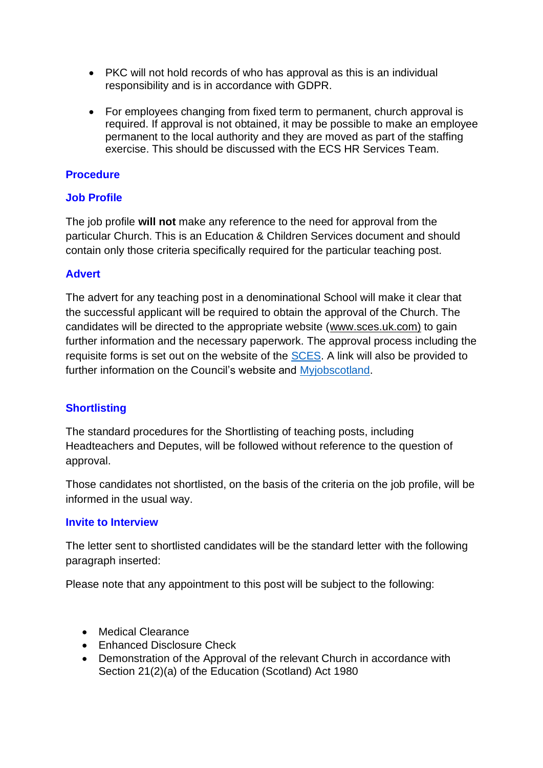- PKC will not hold records of who has approval as this is an individual responsibility and is in accordance with GDPR.
- For employees changing from fixed term to permanent, church approval is required. If approval is not obtained, it may be possible to make an employee permanent to the local authority and they are moved as part of the staffing exercise. This should be discussed with the ECS HR Services Team.

## **Procedure**

## **Job Profile**

The job profile **will not** make any reference to the need for approval from the particular Church. This is an Education & Children Services document and should contain only those criteria specifically required for the particular teaching post.

## **Advert**

The advert for any teaching post in a denominational School will make it clear that the successful applicant will be required to obtain the approval of the Church. The candidates will be directed to the appropriate website [\(www.sces.uk.com\)](http://www.sces.uk.com/) to gain further information and the necessary paperwork. The approval process including the requisite forms is set out on the website of the [SCES.](https://sces.org.uk/church-approval/) A link will also be provided to further information on the Council's website and [Myjobscotland.](https://www.myjobscotland.gov.uk/councils/perth-and-kinross-council)

# **Shortlisting**

The standard procedures for the Shortlisting of teaching posts, including Headteachers and Deputes, will be followed without reference to the question of approval.

Those candidates not shortlisted, on the basis of the criteria on the job profile, will be informed in the usual way.

#### **Invite to Interview**

The letter sent to shortlisted candidates will be the standard letter with the following paragraph inserted:

Please note that any appointment to this post will be subject to the following:

- Medical Clearance
- Enhanced Disclosure Check
- Demonstration of the Approval of the relevant Church in accordance with Section 21(2)(a) of the Education (Scotland) Act 1980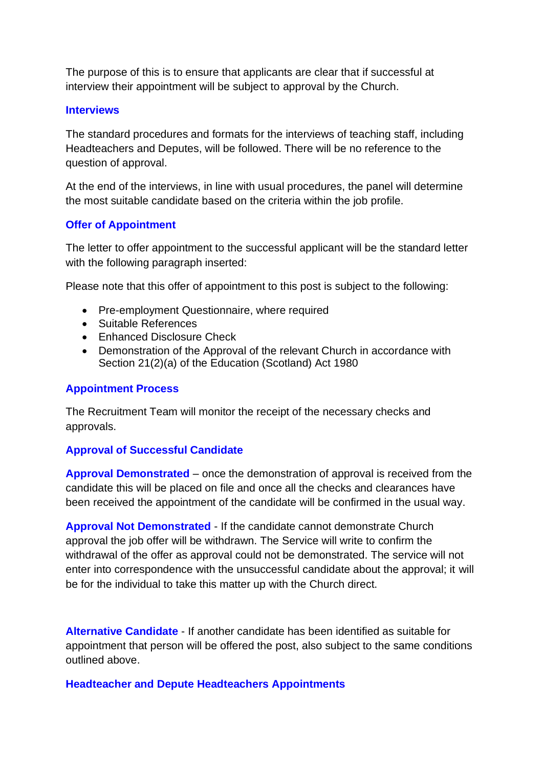The purpose of this is to ensure that applicants are clear that if successful at interview their appointment will be subject to approval by the Church.

#### **Interviews**

The standard procedures and formats for the interviews of teaching staff, including Headteachers and Deputes, will be followed. There will be no reference to the question of approval.

At the end of the interviews, in line with usual procedures, the panel will determine the most suitable candidate based on the criteria within the job profile.

## **Offer of Appointment**

The letter to offer appointment to the successful applicant will be the standard letter with the following paragraph inserted:

Please note that this offer of appointment to this post is subject to the following:

- Pre-employment Questionnaire, where required
- Suitable References
- Enhanced Disclosure Check
- Demonstration of the Approval of the relevant Church in accordance with Section 21(2)(a) of the Education (Scotland) Act 1980

### **Appointment Process**

The Recruitment Team will monitor the receipt of the necessary checks and approvals.

#### **Approval of Successful Candidate**

**Approval Demonstrated** – once the demonstration of approval is received from the candidate this will be placed on file and once all the checks and clearances have been received the appointment of the candidate will be confirmed in the usual way.

**Approval Not Demonstrated** - If the candidate cannot demonstrate Church approval the job offer will be withdrawn. The Service will write to confirm the withdrawal of the offer as approval could not be demonstrated. The service will not enter into correspondence with the unsuccessful candidate about the approval; it will be for the individual to take this matter up with the Church direct.

**Alternative Candidate** - If another candidate has been identified as suitable for appointment that person will be offered the post, also subject to the same conditions outlined above.

**Headteacher and Depute Headteachers Appointments**